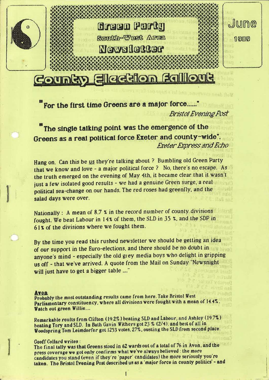

# For the first time Greens are a major force......"

**Bristol Evening Post** 

# "The single talking point was the emergence of the Greens as <sup>a</sup> real political force Exeter and county-wide". Exeter Express and Echo

Hang on. Can this be us they're talking about ? Bumbling old Green Party that we know and love - a major political force ? No, there's no escape. As the truth emerged on the evening of May 4th. it became clear that it wasn't just <sup>a</sup> few isolated good results - we had <sup>a</sup> genuine Green surge. <sup>a</sup> real political sea-change on our hands. The red roses had greenfly, and the salad days were over.

Nationally : A mean of  $8.7 \times$  in the record number of county divisions. fought. We beat Labour in  $14\%$  of them, the SLD in 35  $\%$ , and the SDP in 61% of the divisions where we fought them.

By the time you read this rushed newsletter we should be getting an idea of our support in the Euro-elections, and there should be no doubt in anyone's mind - especially the old grey media boys who delight in gripping us off - that we've arrived. A quote from the Mail on Sunday "Newsnight will just have to get a bigger table ...."

Probably the most outstanding results came from here. Take Bristol West Parliamentary constituency. where all divisions were fought with <sup>a</sup> mean of 14.4%. Watch out green Willie....

Remarkable reults from Clifton (19.2%) beating SLD and Labour, and Ashley (19.7%) beating Tory and SLD. In Bath Gavin Withers got 23 % (2/4), and best of all in Woodspring Tom Leimdorfer got 1253 votes, 27%, ousting the SLD from second place.

Geoff Collard writes :<br>The final tally was that Greens stood in 62 wards out of a total of 76 in Avon, and the press coverage we got only confirms what we've always believed : the more candidates you stand (even if they're 'paper' candidates) the more seriously you're taken. The Bristol Evening Post described us as a 'major force in county politics' - and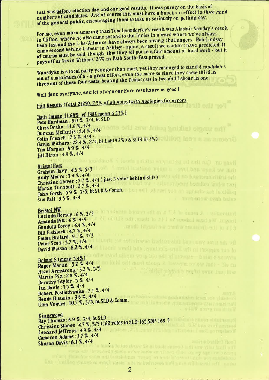that was before election day and our good results. It was purely on the basis of numbers of candidates. And of course this must have a knock-on effect in thwe mind of the general public, encouraging them to take us seriously on polling day.

For me, even more amazing than Tom Leimdorfer's result was Alastair Sawday's result in Clifton, where he also came second to the Tories in a ward where we've always been last and the Libs/Alliance have always been strong challengers. Rob Lindsay came second behind Labour in Ashley - again, a result we couldn't have predicted. It of course must be said, though, that they all put in a fair amount of hard work - but it pays off as Gavin Withers' 23% in Bath South-East proved.

Wansdyke is a local party younger than most, yet they managed to stand 4 candidates out of a maximum of 6 - a great effort, even the more so since they came third in three out of those four seats, beating the Democrats in two and Labour in one.

Well done everyone, and let's hope our Euro results are as good!

# Full Results (Total 24250, 7.5% of all votes) with apologies for errors

Bath (mean 11.68%, cf 1988 mean 6.23%) Pete Hardman : 8.0 %, 3/4, bt SLD Chris Drake: 11.6 %, 4/4 **25W Irrico** Duncan McCanlis: 8.4%, 4/4 Colin French: 7.6 %, 4/4. Gavin Withers: 22.4 %, 2/4. bt Lab(92%) & SLD(16.3%) Tim Morgan : 8.9 %, 4/4 Jill Hiron : 4.9 %, 4/4

**Bristol East** Graham Davy: 4.6 %, 5/5 Andy Moore: 5.4%, 4/4 Christine Glover : 7.7 %, 4/4 ( just 3 votes behind SLD) Martin Turnbull: 2.7%. 4/4 John Forth : 5.9 %, 3/5, bt SLD & Comm. Sue Ball: 3.5 %, 4/4

# **Bristol NW**

Lucinda Hersey: 6%. 3/3 Amanda Pitt: 4%, 4/4 Gundula Dorey : 4.4 %. 4/4 Bill Fishlock: 4.7%. 4/4 Emma Bullard: 9.1 %, 3/3 Peter Scott: 3.7%, 4/4 David Watson: 8.2%, 4/4

Harlington J. & Druggersk I Wishnitch found to a buttle Labour in 145 of them Idyucitour aned warministic and in a fa-

Bristol S (mean 5.4%) Roger Martin : 5.2 %, 4/4 Hazel Armstrong : 3.2 %, 5/5 Martin Pitt: 2.8 %, 4/4 Dorothy Tayler: 5%. 4/4 Ian Davis: 5.5 %, 4/4 Robert Postlethwaite: 7.1 %, 4/4 Renda Hussain: 3.8 %, 4/4 Glen Vowles: 10.7 %, 3/5, bt SLD & Comm.

togital would have their

Kingswood Ray Thomas: 6.9 %, 3/4, bt SLD Christine Stones: 4.7 %, 5/5 (162 votes to SLD-165, SDP-168!) Leonard Jeffreys: 4.9 %, 4/4 Cameron Adams: 3.7%, 4/4 Sharon Davis: 6.1%, 4/4 For final players that freezy module 62 ways out

would not be lastwared the first lot we again to a Instabilities reason by virith inherent limits precedulables bed in as a maior force to county political - diffe taken. The Delated Drumme Poil dever

 $\overline{2}$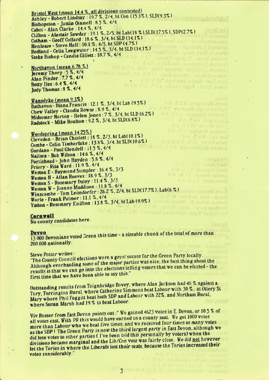Bristol West (mean 14.4 %, all divisions contested) Ashley - Robert Lindsay: 19.7 %, 2/4, bt Con (15.3%), SLD(9.3%) Bishopston - Justin Qinnell: 8.5%. 4/4 Cabot - Alan Clarke : 14.4 %, 4/4 Clifton - Alastair Sawday: 19.1 %, 2/5, bt Lab(18 %), SLD(17.5%), SDP(2.7%) Cotham - Geoff Collard: 18.6 %, 3/4, bt SLD (14.1%)<br>Henleaze - Steve Hall: 10.1 %, 4/5, bt SDP (4.7%) Henleaze - Steve Hall: 10.1 %, 4/5, bt SDP (4.7%)<br>Redland - Celia Leegwater: 14.5 %, 3/4, bt SLD (14.1%)<br>Stoke Bishop - Candia Gillett: 10.7 %, 4/4<br>Northavon (mean 6.78 %)

 $\label{eq:2} \begin{minipage}{0.9\textwidth} \begin{minipage}{0.9\textwidth} \begin{itemize} \textbf{1} & \textbf{1} & \textbf{1} & \textbf{1} & \textbf{1} & \textbf{1} & \textbf{1} & \textbf{1} & \textbf{1} & \textbf{1} & \textbf{1} & \textbf{1} & \textbf{1} & \textbf{1} & \textbf{1} & \textbf{1} & \textbf{1} & \textbf{1} & \textbf{1} & \textbf{1} & \textbf{1} & \textbf{1} & \textbf{1} & \textbf{1} & \textbf{1} & \textbf{$ 

**Andrew Lingh-Burner S.G.** 

N.F. 7 Littrufried dipl

Foo harmond.

Tall an official

Jeremy Thorp: 5%, 4/4<br>Alan Pinder: 7.7%, 4/4 Betty Iles: 6.4 %, 4/4 Judy Thomas: 8%, 4/4

Wansdyke (mean 9.3%) Bathavon-Diana Francis: 12.1 %, 3/4, bt Lab (9.5%) Chew Valley - Claudia Rowse : 8.9 %, 4/4 Midsomer Norton - Helen Jones: 7%, 3/4, bt SLD (6.2%) Radstock - Mike Boulton : 9.2 %, 3/4, bt SLD(6.8%)

на 12 чаловодневный Woodspring (mean 14.25%) Clevedon - Brian Chislett : 18 %, 2/3, bt Lab(10.1%) the the second and send to the second to Combe - Colin Timberlake : 13.8%, 3/4, bt SLD(10.6%) Green Portugal and Links and Archives Gordano - Paul Glendell: 11.5 %, 4/4 902 Id. X Nailsea - Bob Wilson: 14.6 %. 4/4 Portishead - John Hayden : 5.8 %. 4/4 Priory - Rita Ward: 11.9 %, 4/4 ENE OF CHILDREN HOLD HALL Weston E - Raymond Sumpler: 16.4 %, 3/3 Weston N - Allan Reeves: 18.9 %, 3/3 Weston S - Rosemary Daley : 11.4 %. 3/3 Weston W - Joanne Maddison : 11.8 %, 4/4 Winscombe - Tom Leimdorfer: 26.2 %, 2/4, bt SLD(17.7%), Lab(6 %) Winscompete Line<br>
Worle - Frank Palmer : 11.1 %, 4/4<br>
Yatton - Rosemary Knifton : 13.8 %, 3/4, bt Lab (9.9%) Worle - Frank Palmer: 11.1 %. 4/4 StarR OF Austral as Assessed

### Cornwall

No county candidates here.

13 000 Devonians voted Green this time - a sizeable chunk of the total of more than 200 000 nationally.

# **Steve Potter writes:**

"The County Council elections were a great sucess for the Green Party locally. Although overhauling some of the major parties was nice, the best thing about the results is that we can go into the elections telling voters that we can be elected - the first time that we have been able to say this."

Outstanding results from Teignbridge Bovey, where Alan Jackson had 40 % against a Tory, Torrington Rural, where Catherine Simmons beat Labour with 30 %, at Ottery St Mary where Phil Foggitt beat both SDP and Labour with 22%, and Northam Rural, where Susan Marsh had 19 % to beat Labour.

Viv Rosser from East Devon points out:" We gained 4623 votes in E. Devon, or 10.5 % of all votes cast. With PR this would have earned us a county seat. We got 1000 votes more than Labour who we beat five times, and we received four times as many votes as the SDP! The Green Party is now the third largest party in East Devon, although we did lose votes to other parties (I've been told this personally by voters) when the divisions became marginal and the Lib/Con vote was fairly close. We did not however let the Tories in where the Liberals lost their seats, because the Tories increased their votes considerably."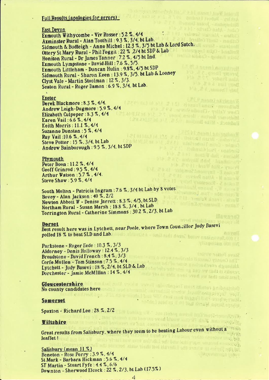## Full Results (apologies for errors)

# East Devon

<u>East Devon</u><br>Exmouth Withycombe - Viv Rosser : 5.2 %, 4/4 19. 2 A.M., bandled from? Axminster Rural - Alan Toothill : 9.3 %, 3/4, bt Lab. Sidmouth & Budleigh - Anne Michel : 12.3 %, 3/5 bt Lab & Lord Sutch. Ottery St Mary Rural - Phil Foggit : 22 % 2/4 ht SDP & Lab Heniton Rural - Dr James Tanner : 7.2 %, 4/5 bt Ind. Muscl-Roman Link Exmouth Lympstone - David Hill : 7.6 %, 5/5. Exmouth Littleham - Duncan Hulin : 9.8%, 4/5 bt SDP **CLA nears Locational** Sidmouth Rural - Sharon Keen: 13.9 %, 3/5. bt Lab & Looney Clyst Vale - Martin Stoolman : 12 %, 3/3. Seaton Rural - Roger Damon : 6.9 %, 3/4, bt Lab. and partners of the state

and annul saulinari in Mine help ant A- toda's waz ibn att - collul

**LACP NASHU SAVOIANT** 

S R D Matter L 5 m unche 1

Refer of the Second Charles 197 Austi Widels annikle Making and Making and the PERSONAL PROPERTY IN Printer - Hills wave in the first County of Albert Prevent 18 **Exted Vantascos - 2 notes P** 

retinial meters for many

**THE POSTAGE OF STATE** 

Steve Passer write it also then write.

Although overland in the more office.<br>Franks is that we can use there of the

ne dis saval cabasing all'una alluen anibogenati.<br>La monda

a periodical di Parti della Registrazione.<br>La provincia della California della Registrazione di Parti della Registrazione.

clefton model in Fresh transports.

ing a shiring the basis

n davrement - county

if a u se se'i

Strandy Mark Parker (21 Strandy

Material material control of the M

Estimated that the contract of the second second second second second second second second second second second second second second second second second second second second second second second second second second secon

### '4 Exeter

Derek Blackmore :8.3 %. 4/4. Andrew Leigh-Dugmore : 5.9 %. 4/4<br>Flizaheth Culpeper : 8.3 %, 4/4 Elizabeth Culpeper :  $8.3\%$ ,  $4/4$ Karen Vail: 6.6 %, 4/4 Keith Morris: 11.1%.4/4 Suzanne Dunstan :5 %, 4/4 Ray Vail: 10.6 %, 4/4 Steve Potter :  $15$  %,  $3/4$ , bt Lab Andrew Bainbereugh : 95 %, 3/4, bt SDP

### Plymouth

Peter Boon : 11.2 %, 4/4 Geoff Grinrod : 9.5 %, 4/4 Arthur Watson :57 % ,4/4. Steve Shaw : 5.9 %, 4/4

South Molton - Patricia Ingram : 7.6 %, 3/4 bt Lab by 8 votes. Bovey - Alan Jackson :  $40 \%$ ,  $2/2$ While health short into b Newton Abbott W - Denise Jarrett : 8.3 %, 4/5, bt SLD Northam Rural - Susan Marsh : 18.8 %, 3/4, bt Lab Torrington Rural - Catherine Simmons : 30.2 %, 2/3, bt Lab

**Borset** Best result here was in Lytchett, near Poole, where Town Councillor Judy Basevi polled 18 % to heat SLD and Lab. Quile show that the design of the contract of the contract of the contract of

Parkstone - Roger Eede : 10.3 %, 3/3 Alderney - Denis Holloway :  $12.4\%$ ,  $3/3$ Broadstone - David French : 8.4 %, 3/3 Corfe Mullen - Tom Stinson :  $7.5 \%$ ,  $4/4$ Corfe Mullen - Tom Stinson : 7.5 %, 4/4<br>Lytchett - Judy Basevi : 18 %, 2/4. bt SLD & Lab<br>Dorchester - Jamie McMIllan : 14 %, 4/4 Dorchester - Jamie McMillan : 14 %, 4/4

# Gloucestershire

No county candidates here I

### Somerset

Spaxton – Richard Lee : 28  $\%$ , 2/2  $\frac{1}{2}$  and  $\frac{1}{2}$  and  $\frac{1}{2}$  and  $\frac{1}{2}$  and  $\frac{1}{2}$  and  $\frac{1}{2}$  and  $\frac{1}{2}$  and  $\frac{1}{2}$  and  $\frac{1}{2}$  and  $\frac{1}{2}$  and  $\frac{1}{2}$  and  $\frac{1}{2}$  and  $\frac{1}{2}$  and  $\$ 

### Viltshire

**Willshire**<br>Great results from Salishury, where they seem to be beating Labour even without a<sup>t theire</sup> here they seem to be beating Labour even without a state of the state of the state of the state of the state of the state of the state of the state of the state of the state of the state of the state of the state of the st lenflet !

Salisbury (mean  $11 \%$ ) her tieds not slaund. Follows to meet the spight. Beneton - Rose Perry :  $3.9\%$ ,  $4/4$ St Mark - Barbara Hickman : 5.6 %, 4/4 ST Martin - Stuart Fyfe : 4.4 %, 6/6 Downlen <sup>~</sup> Sherwood Elcock : <sup>22</sup> '7», 2/3, bl Lab (17.5%)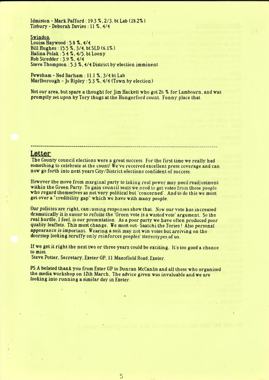$ldmiston - Mark Pafford : 19.3 %$ , 2/3. bt Lab  $(18.2%)$ Tisbury - Deborah Davies : 11 %, 4/4

# Swindon

Louisa Haywood :  $5.8$   $\frac{8}{14}$ . 4/4 Bill Hughes :  $15.5$  %,  $3/4$ , bt SLD  $(6.1\%)$ Halina Polak :  $5.4$  %,  $4/5.$  bt Loony Rob Stredder :  $3.9\%$ .  $4/4$ Steve Thompson : 5.3 %, 4/4 District by election imminent

Pewsham - Ned Barham : 11.1 %, 3/4 bt Lab Marlborough - Jo Ripley:  $5.3$  %,  $4/4$  (Town by election)

Not our area, but spare a thought for Jim Hackett who got 26 % for Lambourn, and was promptly set upon by Tory thugs at the Hungerford count. Funny place that.

# Letter

The County council elections were a great success. For the first time we really had something to celebrate at the count! We've received excellent press coverage and can now go forth into next years City/District elections confident of success.

However the move from marginal party to taking real power may need readjustment within the Green Party. To gain council seats we need to get votes from those people who regard themselves as not very political but 'concerned'. And to do this we must get over a "credibility gap" which we have with many people.

fiur policies are right. canvassing responses show that. Now our vote has increased dramatically it is easier to refuite the 'Green vote is <sup>a</sup> wasted vote' argument. So the real hurdle. I feel, is our presentation. As a poor party we have often produced poor quality leaflets. This must change. We must out-Saatchi the Tories! Also personal appearance is important. Wearing a suit may not win votes but arriving on the doorstep looking scruffy only reinforces peoples' stereotypes of us.

Ifwe get it right the next two or three years could be exciting. It's too good <sup>a</sup> chance to miss.

Steve Potter. Secretary. Exeter GP. ll Mansfield Road, Exeter.

PS A belated thank you from Exter GP to Duncan McCanlis and all those who organised the media workshop on 12th March. The advice given was invaluable and we are looking into running a similar day in Exeter.

5